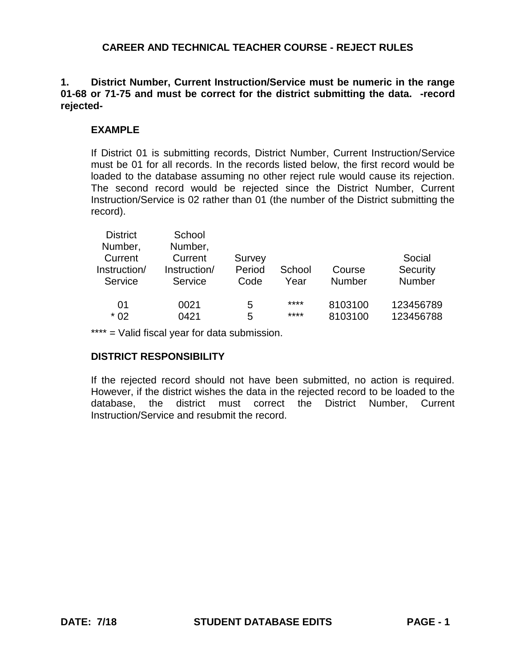# **1. District Number, Current Instruction/Service must be numeric in the range 01-68 or 71-75 and must be correct for the district submitting the data. -record rejected-**

# **EXAMPLE**

If District 01 is submitting records, District Number, Current Instruction/Service must be 01 for all records. In the records listed below, the first record would be loaded to the database assuming no other reject rule would cause its rejection. The second record would be rejected since the District Number, Current Instruction/Service is 02 rather than 01 (the number of the District submitting the record).

| <b>District</b><br>Number,<br>Current<br>Instruction/<br>Service | School<br>Number,<br>Current<br>Instruction/<br>Service | Survey<br>Period<br>Code | School<br>Year | Course<br><b>Number</b> | Social<br>Security<br>Number |
|------------------------------------------------------------------|---------------------------------------------------------|--------------------------|----------------|-------------------------|------------------------------|
| 01                                                               | 0021                                                    | 5                        | ****           | 8103100                 | 123456789                    |
| $*02$                                                            | 0421                                                    | 5                        | ****           | 8103100                 | 123456788                    |

\*\*\*\* = Valid fiscal year for data submission.

# **DISTRICT RESPONSIBILITY**

If the rejected record should not have been submitted, no action is required. However, if the district wishes the data in the rejected record to be loaded to the database, the district must correct the District Number, Current Instruction/Service and resubmit the record.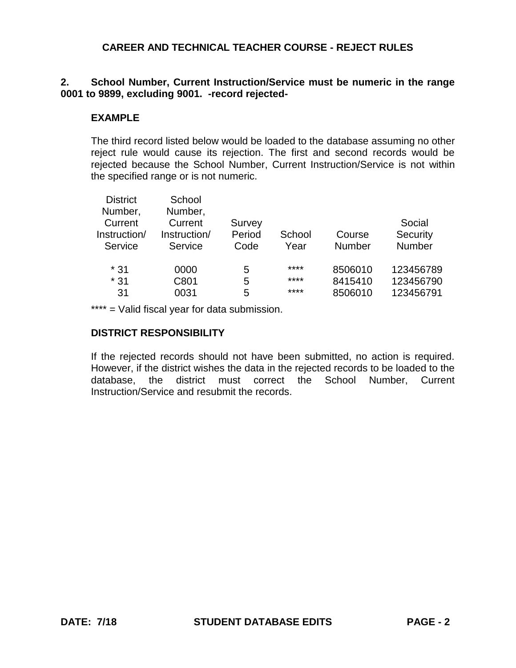# **2. School Number, Current Instruction/Service must be numeric in the range 0001 to 9899, excluding 9001. -record rejected-**

## **EXAMPLE**

The third record listed below would be loaded to the database assuming no other reject rule would cause its rejection. The first and second records would be rejected because the School Number, Current Instruction/Service is not within the specified range or is not numeric.

| <b>District</b> | School       |        |        |               |           |
|-----------------|--------------|--------|--------|---------------|-----------|
| Number,         | Number,      |        |        |               |           |
| Current         | Current      | Survey |        |               | Social    |
| Instruction/    | Instruction/ | Period | School | Course        | Security  |
| Service         | Service      | Code   | Year   | <b>Number</b> | Number    |
| $*31$           | 0000         | 5      | ****   | 8506010       | 123456789 |
| $*31$           | C801         | 5      | ****   | 8415410       | 123456790 |
| 31              | 0031         | 5      | ****   | 8506010       | 123456791 |

\*\*\*\* = Valid fiscal year for data submission.

## **DISTRICT RESPONSIBILITY**

If the rejected records should not have been submitted, no action is required. However, if the district wishes the data in the rejected records to be loaded to the database, the district must correct the School Number, Current Instruction/Service and resubmit the records.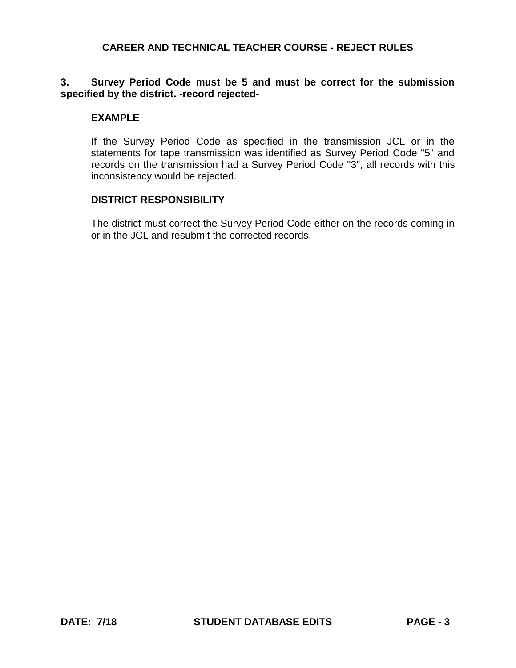## **3. Survey Period Code must be 5 and must be correct for the submission specified by the district. -record rejected-**

### **EXAMPLE**

If the Survey Period Code as specified in the transmission JCL or in the statements for tape transmission was identified as Survey Period Code "5" and records on the transmission had a Survey Period Code "3", all records with this inconsistency would be rejected.

### **DISTRICT RESPONSIBILITY**

The district must correct the Survey Period Code either on the records coming in or in the JCL and resubmit the corrected records.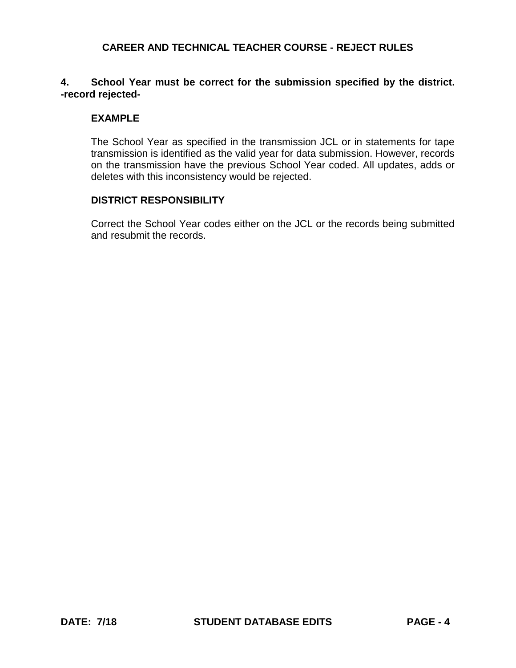# **4. School Year must be correct for the submission specified by the district. -record rejected-**

## **EXAMPLE**

The School Year as specified in the transmission JCL or in statements for tape transmission is identified as the valid year for data submission. However, records on the transmission have the previous School Year coded. All updates, adds or deletes with this inconsistency would be rejected.

### **DISTRICT RESPONSIBILITY**

Correct the School Year codes either on the JCL or the records being submitted and resubmit the records.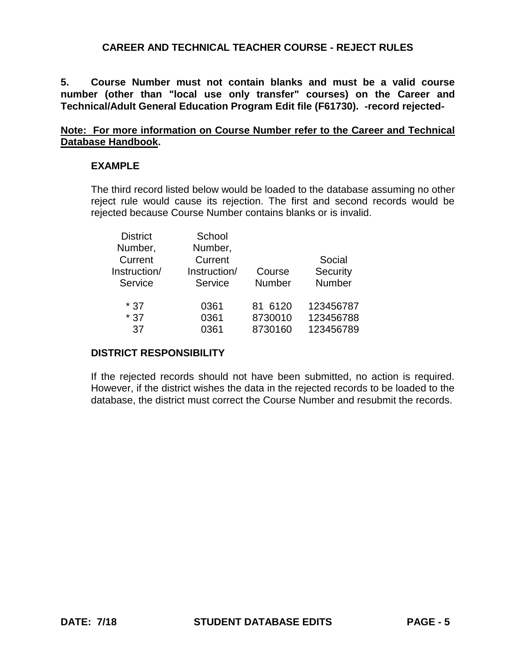**5. Course Number must not contain blanks and must be a valid course number (other than "local use only transfer" courses) on the Career and Technical/Adult General Education Program Edit file (F61730). -record rejected-**

## **Note: For more information on Course Number refer to the Career and Technical Database Handbook.**

## **EXAMPLE**

The third record listed below would be loaded to the database assuming no other reject rule would cause its rejection. The first and second records would be rejected because Course Number contains blanks or is invalid.

| <b>District</b> | School       |         |           |
|-----------------|--------------|---------|-----------|
| Number,         | Number,      |         |           |
| Current         | Current      |         | Social    |
| Instruction/    | Instruction/ | Course  | Security  |
| Service         | Service      | Number  | Number    |
| $*37$           | 0361         | 81 6120 | 123456787 |
| $*37$           | 0361         | 8730010 | 123456788 |
| 37              | 0361         | 8730160 | 123456789 |

## **DISTRICT RESPONSIBILITY**

If the rejected records should not have been submitted, no action is required. However, if the district wishes the data in the rejected records to be loaded to the database, the district must correct the Course Number and resubmit the records.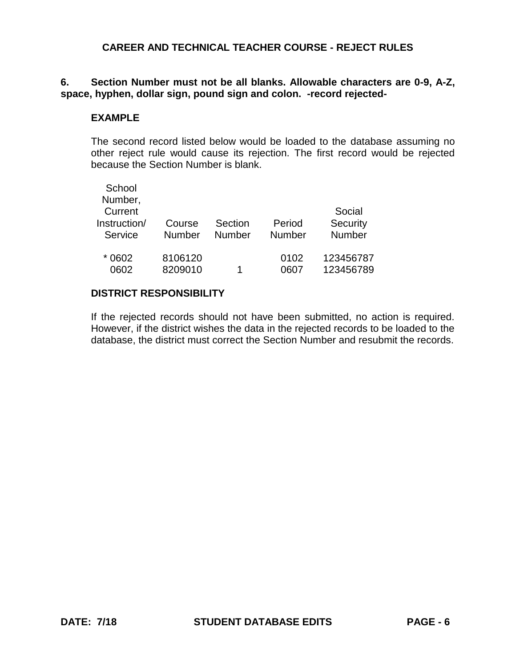# **6. Section Number must not be all blanks. Allowable characters are 0-9, A-Z, space, hyphen, dollar sign, pound sign and colon. -record rejected-**

### **EXAMPLE**

The second record listed below would be loaded to the database assuming no other reject rule would cause its rejection. The first record would be rejected because the Section Number is blank.

| School<br>Number,                  |                         |                   |                         |                                     |
|------------------------------------|-------------------------|-------------------|-------------------------|-------------------------------------|
| Current<br>Instruction/<br>Service | Course<br><b>Number</b> | Section<br>Number | Period<br><b>Number</b> | Social<br>Security<br><b>Number</b> |
| 0602<br>0602                       | 8106120<br>8209010      | 1                 | 0102                    | 123456787<br>123456789              |

## **DISTRICT RESPONSIBILITY**

If the rejected records should not have been submitted, no action is required. However, if the district wishes the data in the rejected records to be loaded to the database, the district must correct the Section Number and resubmit the records.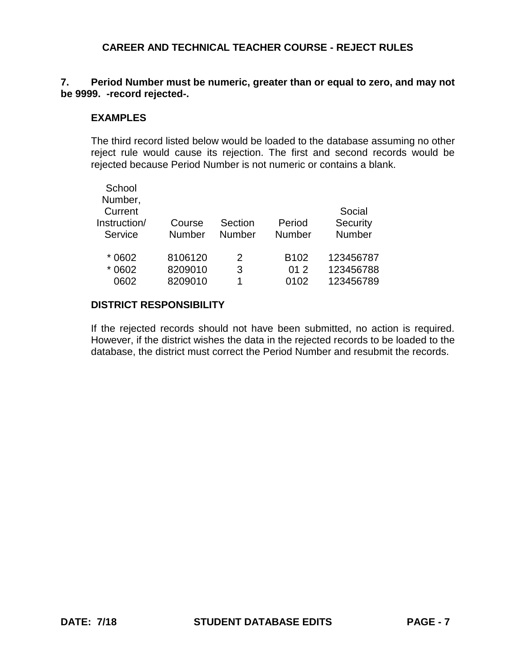# **7. Period Number must be numeric, greater than or equal to zero, and may not be 9999. -record rejected-.**

## **EXAMPLES**

The third record listed below would be loaded to the database assuming no other reject rule would cause its rejection. The first and second records would be rejected because Period Number is not numeric or contains a blank.

| School<br>Number, |               |               |                  |               |
|-------------------|---------------|---------------|------------------|---------------|
| Current           |               |               |                  | Social        |
| Instruction/      | Course        | Section       | Period           | Security      |
| Service           | <b>Number</b> | <b>Number</b> | <b>Number</b>    | <b>Number</b> |
| * 0602            | 8106120       | 2             | B <sub>102</sub> | 123456787     |
| $*0602$           | 8209010       | 3             | 012              | 123456788     |
| 0602              | 8209010       | 1             | 0102             | 123456789     |

## **DISTRICT RESPONSIBILITY**

If the rejected records should not have been submitted, no action is required. However, if the district wishes the data in the rejected records to be loaded to the database, the district must correct the Period Number and resubmit the records.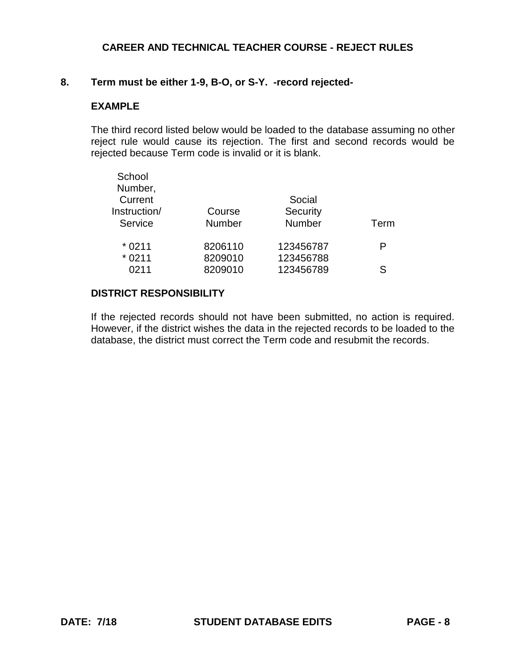## **8. Term must be either 1-9, B-O, or S-Y. -record rejected-**

## **EXAMPLE**

The third record listed below would be loaded to the database assuming no other reject rule would cause its rejection. The first and second records would be rejected because Term code is invalid or it is blank.

| School       |               |               |      |
|--------------|---------------|---------------|------|
| Number,      |               |               |      |
| Current      |               | Social        |      |
| Instruction/ | Course        | Security      |      |
| Service      | <b>Number</b> | <b>Number</b> | Term |
| $*0211$      | 8206110       | 123456787     | P    |
| $*0211$      | 8209010       | 123456788     |      |
| 0211         | 8209010       | 123456789     | S    |

## **DISTRICT RESPONSIBILITY**

If the rejected records should not have been submitted, no action is required. However, if the district wishes the data in the rejected records to be loaded to the database, the district must correct the Term code and resubmit the records.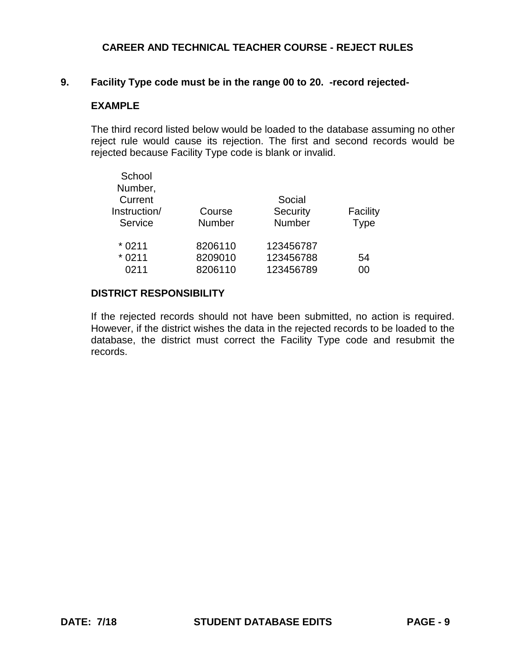## **9. Facility Type code must be in the range 00 to 20. -record rejected-**

## **EXAMPLE**

The third record listed below would be loaded to the database assuming no other reject rule would cause its rejection. The first and second records would be rejected because Facility Type code is blank or invalid.

| School<br>Number, |               |           |             |
|-------------------|---------------|-----------|-------------|
| Current           |               | Social    |             |
| Instruction/      | Course        | Security  | Facility    |
| Service           | <b>Number</b> | Number    | <b>Type</b> |
| $*0211$           | 8206110       | 123456787 |             |
| $*0211$           | 8209010       | 123456788 | 54          |
| 0211              | 8206110       | 123456789 | იი          |
|                   |               |           |             |

## **DISTRICT RESPONSIBILITY**

If the rejected records should not have been submitted, no action is required. However, if the district wishes the data in the rejected records to be loaded to the database, the district must correct the Facility Type code and resubmit the records.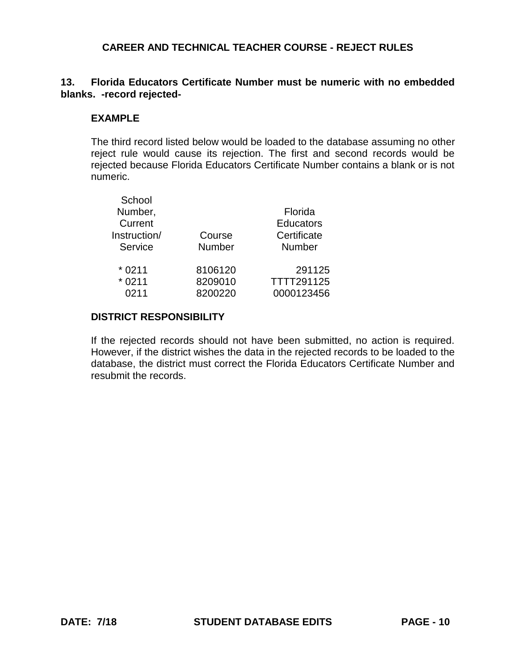# **13. Florida Educators Certificate Number must be numeric with no embedded blanks. -record rejected-**

## **EXAMPLE**

The third record listed below would be loaded to the database assuming no other reject rule would cause its rejection. The first and second records would be rejected because Florida Educators Certificate Number contains a blank or is not numeric.

| School       |         |                  |
|--------------|---------|------------------|
| Number,      |         | Florida          |
| Current      |         | <b>Educators</b> |
| Instruction/ | Course  | Certificate      |
| Service      | Number  | <b>Number</b>    |
| $*0211$      | 8106120 | 291125           |
| $*0211$      | 8209010 | TTTT291125       |
| 0211         | 8200220 | 0000123456       |
|              |         |                  |

### **DISTRICT RESPONSIBILITY**

If the rejected records should not have been submitted, no action is required. However, if the district wishes the data in the rejected records to be loaded to the database, the district must correct the Florida Educators Certificate Number and resubmit the records.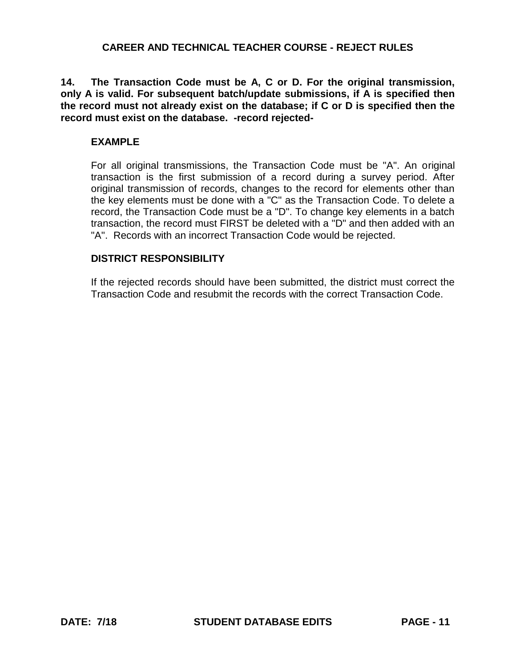**14. The Transaction Code must be A, C or D. For the original transmission, only A is valid. For subsequent batch/update submissions, if A is specified then the record must not already exist on the database; if C or D is specified then the record must exist on the database. -record rejected-**

### **EXAMPLE**

For all original transmissions, the Transaction Code must be "A". An original transaction is the first submission of a record during a survey period. After original transmission of records, changes to the record for elements other than the key elements must be done with a "C" as the Transaction Code. To delete a record, the Transaction Code must be a "D". To change key elements in a batch transaction, the record must FIRST be deleted with a "D" and then added with an "A". Records with an incorrect Transaction Code would be rejected.

## **DISTRICT RESPONSIBILITY**

If the rejected records should have been submitted, the district must correct the Transaction Code and resubmit the records with the correct Transaction Code.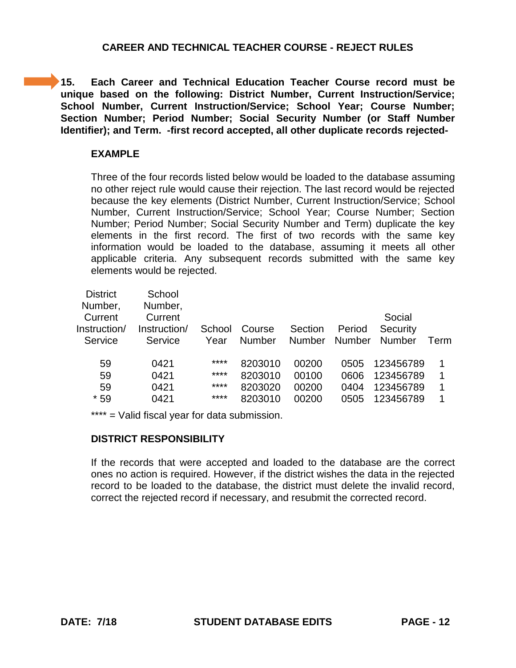**15. Each Career and Technical Education Teacher Course record must be unique based on the following: District Number, Current Instruction/Service; School Number, Current Instruction/Service; School Year; Course Number; Section Number; Period Number; Social Security Number (or Staff Number Identifier); and Term. -first record accepted, all other duplicate records rejected-**

## **EXAMPLE**

Three of the four records listed below would be loaded to the database assuming no other reject rule would cause their rejection. The last record would be rejected because the key elements (District Number, Current Instruction/Service; School Number, Current Instruction/Service; School Year; Course Number; Section Number; Period Number; Social Security Number and Term) duplicate the key elements in the first record. The first of two records with the same key information would be loaded to the database, assuming it meets all other applicable criteria. Any subsequent records submitted with the same key elements would be rejected.

| <b>District</b><br>Number,<br>Current<br>Instruction/ | School<br>Number,<br>Current<br>Instruction/ | School | Course  | Section       | Period        | Social<br>Security |      |
|-------------------------------------------------------|----------------------------------------------|--------|---------|---------------|---------------|--------------------|------|
|                                                       |                                              |        |         |               |               |                    |      |
| Service                                               | Service                                      | Year   | Number  | <b>Number</b> | <b>Number</b> | <b>Number</b>      | Term |
|                                                       |                                              | ****   |         |               |               |                    |      |
| 59                                                    | 0421                                         |        | 8203010 | 00200         | 0505          | 123456789          | 1    |
| 59                                                    | 0421                                         | ****   | 8203010 | 00100         | 0606          | 123456789          | 1    |
| 59                                                    | 0421                                         | ****   | 8203020 | 00200         | 0404          | 123456789          | 1    |
| $*59$                                                 | 0421                                         | ****   | 8203010 | 00200         | 0505          | 123456789          | 1    |
|                                                       |                                              |        |         |               |               |                    |      |

\*\*\*\* = Valid fiscal year for data submission.

### **DISTRICT RESPONSIBILITY**

If the records that were accepted and loaded to the database are the correct ones no action is required. However, if the district wishes the data in the rejected record to be loaded to the database, the district must delete the invalid record, correct the rejected record if necessary, and resubmit the corrected record.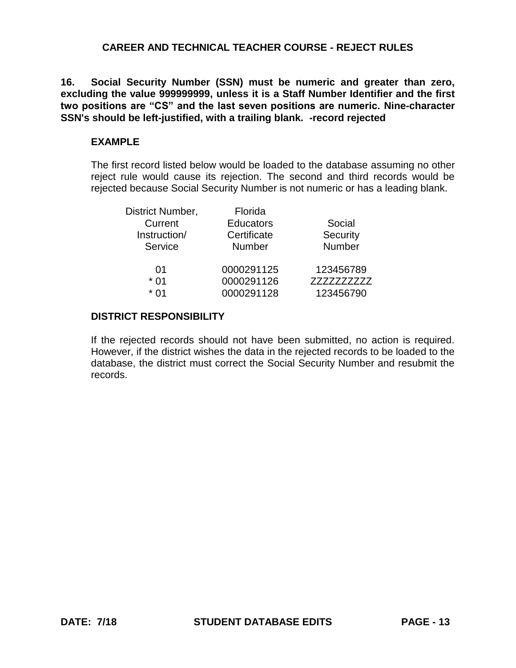**16. Social Security Number (SSN) must be numeric and greater than zero, excluding the value 999999999, unless it is a Staff Number Identifier and the first two positions are "CS" and the last seven positions are numeric. Nine-character SSN's should be left-justified, with a trailing blank. -record rejected**

### **EXAMPLE**

The first record listed below would be loaded to the database assuming no other reject rule would cause its rejection. The second and third records would be rejected because Social Security Number is not numeric or has a leading blank.

| District Number, | Florida          |            |
|------------------|------------------|------------|
| Current          | <b>Educators</b> | Social     |
| Instruction/     | Certificate      | Security   |
| Service          | <b>Number</b>    | Number     |
| 01               | 0000291125       | 123456789  |
| $*01$            | 0000291126       | 7777777777 |
| $*$ 01           | 0000291128       | 123456790  |

## **DISTRICT RESPONSIBILITY**

If the rejected records should not have been submitted, no action is required. However, if the district wishes the data in the rejected records to be loaded to the database, the district must correct the Social Security Number and resubmit the records.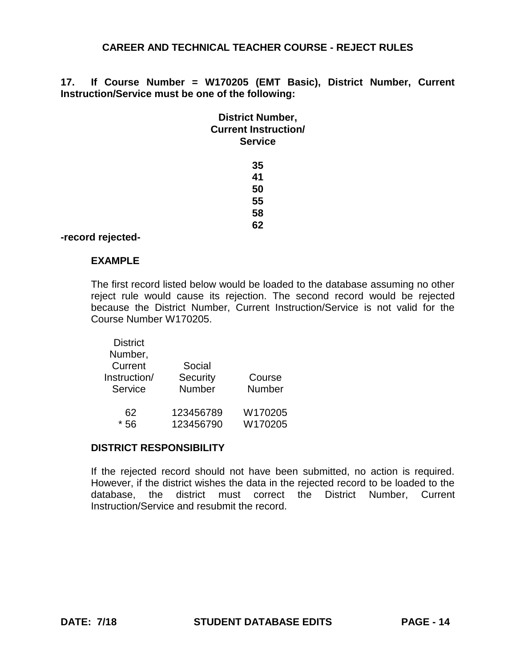**17. If Course Number = W170205 (EMT Basic), District Number, Current Instruction/Service must be one of the following:**

| <b>District Number,</b> |
|-------------------------|
| Current Instruction/    |
| <b>Service</b>          |

**-record rejected-**

### **EXAMPLE**

The first record listed below would be loaded to the database assuming no other reject rule would cause its rejection. The second record would be rejected because the District Number, Current Instruction/Service is not valid for the Course Number W170205.

| Security  | Course  |
|-----------|---------|
| Number    | Number  |
| 123456789 | W170205 |
| 123456790 | W170205 |
|           | Social  |

### **DISTRICT RESPONSIBILITY**

If the rejected record should not have been submitted, no action is required. However, if the district wishes the data in the rejected record to be loaded to the database, the district must correct the District Number, Current Instruction/Service and resubmit the record.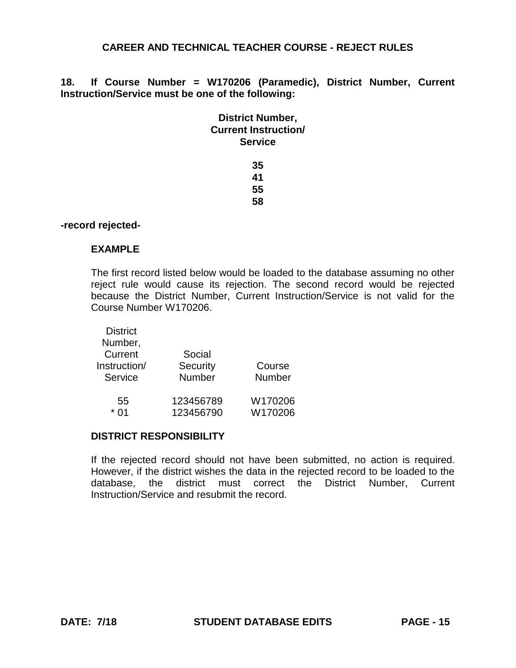**18. If Course Number = W170206 (Paramedic), District Number, Current Instruction/Service must be one of the following:**

| <b>District Number,</b> |
|-------------------------|
| Current Instruction/    |
| <b>Service</b>          |

#### **-record rejected-**

### **EXAMPLE**

The first record listed below would be loaded to the database assuming no other reject rule would cause its rejection. The second record would be rejected because the District Number, Current Instruction/Service is not valid for the Course Number W170206.

| <b>District</b> |               |         |
|-----------------|---------------|---------|
| Number,         |               |         |
| Current         | Social        |         |
| Instruction/    | Security      | Course  |
| Service         | <b>Number</b> | Number  |
| 55              | 123456789     | W170206 |
| * በ1            | 123456790     | W170206 |
|                 |               |         |

#### **DISTRICT RESPONSIBILITY**

If the rejected record should not have been submitted, no action is required. However, if the district wishes the data in the rejected record to be loaded to the database, the district must correct the District Number, Current Instruction/Service and resubmit the record.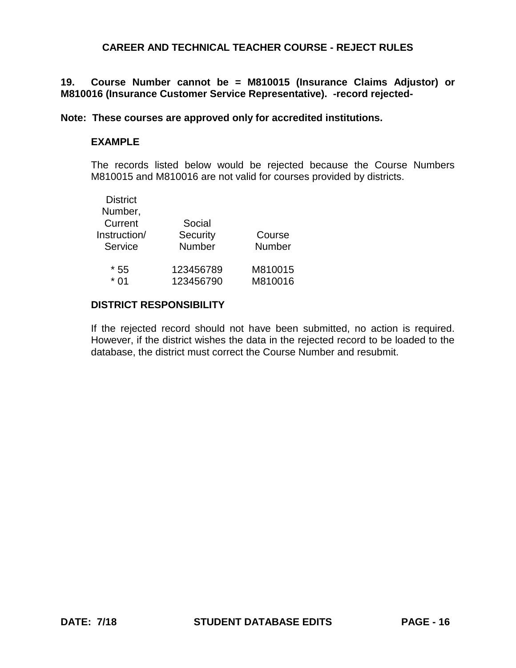**19. Course Number cannot be = M810015 (Insurance Claims Adjustor) or M810016 (Insurance Customer Service Representative). -record rejected-**

### **Note: These courses are approved only for accredited institutions.**

## **EXAMPLE**

The records listed below would be rejected because the Course Numbers M810015 and M810016 are not valid for courses provided by districts.

| <b>District</b> |           |               |
|-----------------|-----------|---------------|
| Number,         |           |               |
| Current         | Social    |               |
| Instruction/    | Security  | Course        |
| Service         | Number    | <b>Number</b> |
|                 |           |               |
| $*55$           | 123456789 | M810015       |
| * በ1            | 123456790 | M810016       |
|                 |           |               |

### **DISTRICT RESPONSIBILITY**

If the rejected record should not have been submitted, no action is required. However, if the district wishes the data in the rejected record to be loaded to the database, the district must correct the Course Number and resubmit.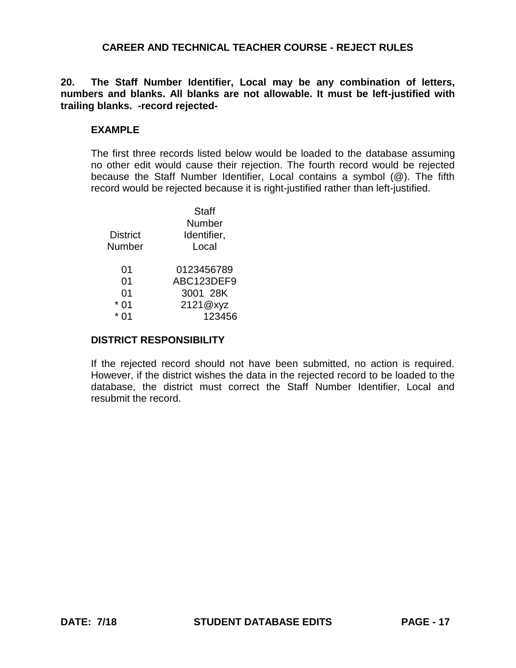**20. The Staff Number Identifier, Local may be any combination of letters, numbers and blanks. All blanks are not allowable. It must be left-justified with trailing blanks. -record rejected-**

## **EXAMPLE**

The first three records listed below would be loaded to the database assuming no other edit would cause their rejection. The fourth record would be rejected because the Staff Number Identifier, Local contains a symbol (@). The fifth record would be rejected because it is right-justified rather than left-justified.

|                 | <b>Staff</b> |
|-----------------|--------------|
|                 | Number       |
| <b>District</b> | Identifier,  |
| Number          | Local        |
| 01              | 0123456789   |
| 01              | ABC123DEF9   |
| 01              | 3001 28K     |
| *<br>01         | 2121@xyz     |
|                 | 123456       |

## **DISTRICT RESPONSIBILITY**

If the rejected record should not have been submitted, no action is required. However, if the district wishes the data in the rejected record to be loaded to the database, the district must correct the Staff Number Identifier, Local and resubmit the record.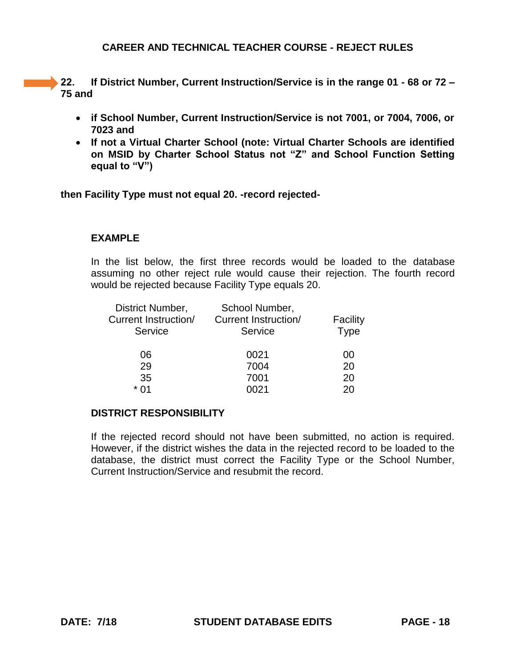**22. If District Number, Current Instruction/Service is in the range 01 - 68 or 72 – 75 and**

- **if School Number, Current Instruction/Service is not 7001, or 7004, 7006, or 7023 and**
- **If not a Virtual Charter School (note: Virtual Charter Schools are identified on MSID by Charter School Status not "Z" and School Function Setting equal to "V")**

**then Facility Type must not equal 20. -record rejected-**

## **EXAMPLE**

In the list below, the first three records would be loaded to the database assuming no other reject rule would cause their rejection. The fourth record would be rejected because Facility Type equals 20.

| District Number,     | School Number,              |             |
|----------------------|-----------------------------|-------------|
| Current Instruction/ | <b>Current Instruction/</b> | Facility    |
| Service              | Service                     | <b>Type</b> |
| 06                   | 0021                        | 00          |
| 29                   | 7004                        | 20          |
| 35                   | 7001                        | 20          |
| * በ1                 | NN 21                       |             |

## **DISTRICT RESPONSIBILITY**

If the rejected record should not have been submitted, no action is required. However, if the district wishes the data in the rejected record to be loaded to the database, the district must correct the Facility Type or the School Number, Current Instruction/Service and resubmit the record.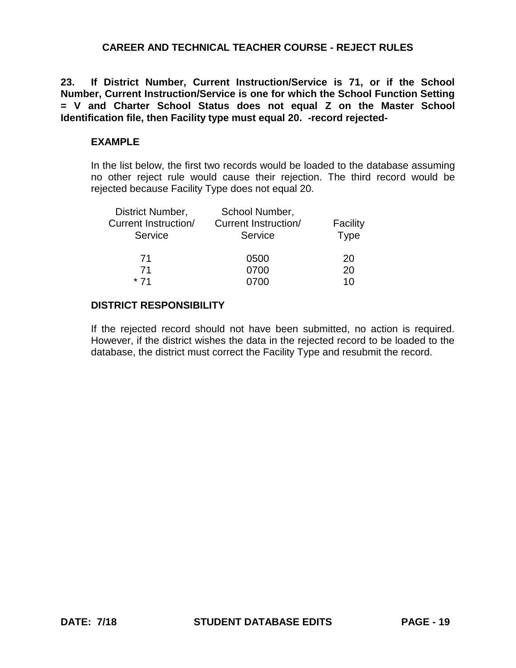**23. If District Number, Current Instruction/Service is 71, or if the School Number, Current Instruction/Service is one for which the School Function Setting = V and Charter School Status does not equal Z on the Master School Identification file, then Facility type must equal 20. -record rejected-**

### **EXAMPLE**

In the list below, the first two records would be loaded to the database assuming no other reject rule would cause their rejection. The third record would be rejected because Facility Type does not equal 20.

| District Number,     | School Number,              |             |
|----------------------|-----------------------------|-------------|
| Current Instruction/ | <b>Current Instruction/</b> | Facility    |
| Service              | Service                     | <b>Type</b> |
| 71                   | 0500                        | 20          |
| 71                   | 0700                        | 20          |
| $*71$                | 0700                        | 10          |

#### **DISTRICT RESPONSIBILITY**

If the rejected record should not have been submitted, no action is required. However, if the district wishes the data in the rejected record to be loaded to the database, the district must correct the Facility Type and resubmit the record.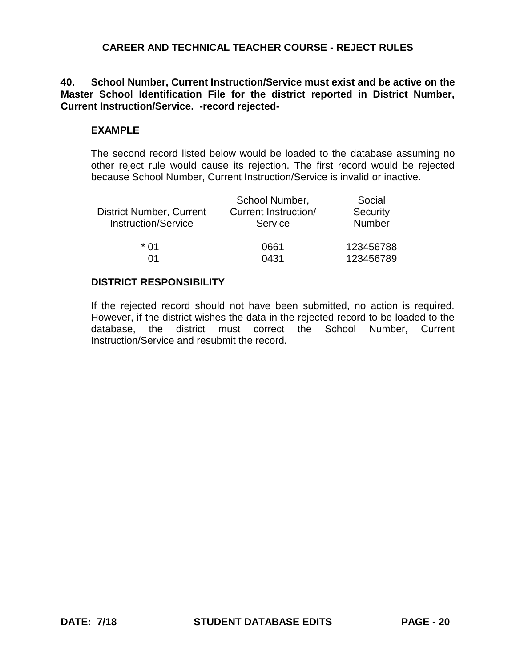# **40. School Number, Current Instruction/Service must exist and be active on the Master School Identification File for the district reported in District Number, Current Instruction/Service. -record rejected-**

## **EXAMPLE**

The second record listed below would be loaded to the database assuming no other reject rule would cause its rejection. The first record would be rejected because School Number, Current Instruction/Service is invalid or inactive.

| <b>District Number, Current</b><br><b>Instruction/Service</b> | School Number,<br><b>Current Instruction/</b><br>Service | Social<br>Security<br>Number |
|---------------------------------------------------------------|----------------------------------------------------------|------------------------------|
| * በ1                                                          | 0661                                                     | 123456788                    |
| 01                                                            | 0431                                                     | 123456789                    |

# **DISTRICT RESPONSIBILITY**

If the rejected record should not have been submitted, no action is required. However, if the district wishes the data in the rejected record to be loaded to the database, the district must correct the School Number, Current Instruction/Service and resubmit the record.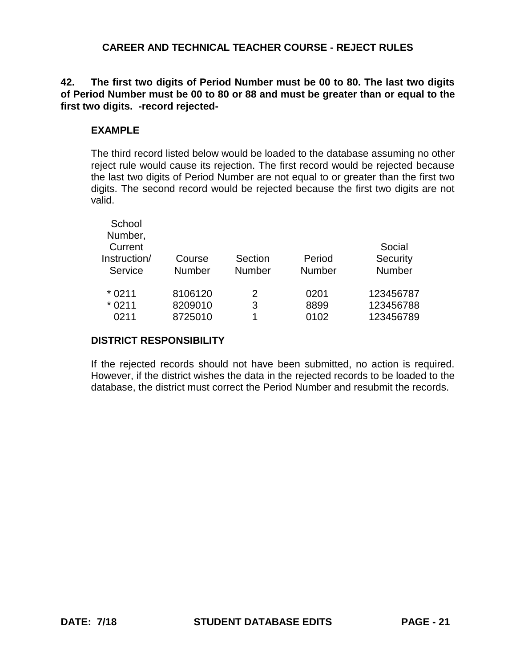# **42. The first two digits of Period Number must be 00 to 80. The last two digits of Period Number must be 00 to 80 or 88 and must be greater than or equal to the first two digits. -record rejected-**

# **EXAMPLE**

The third record listed below would be loaded to the database assuming no other reject rule would cause its rejection. The first record would be rejected because the last two digits of Period Number are not equal to or greater than the first two digits. The second record would be rejected because the first two digits are not valid.

| Course<br><b>Number</b>       | Section<br><b>Number</b> | Period<br><b>Number</b> | Social<br>Security<br>Number        |
|-------------------------------|--------------------------|-------------------------|-------------------------------------|
| 8106120<br>8209010<br>8725010 | 2<br>3<br>1              | 0201<br>8899<br>0102    | 123456787<br>123456788<br>123456789 |
|                               |                          |                         |                                     |

# **DISTRICT RESPONSIBILITY**

If the rejected records should not have been submitted, no action is required. However, if the district wishes the data in the rejected records to be loaded to the database, the district must correct the Period Number and resubmit the records.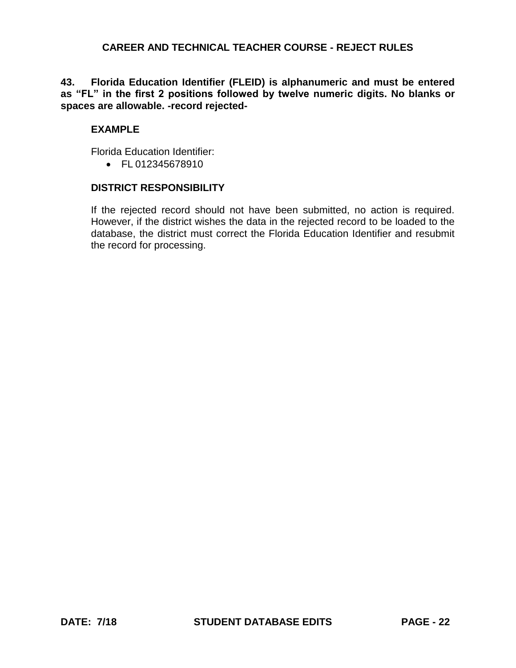# **43. Florida Education Identifier (FLEID) is alphanumeric and must be entered as "FL" in the first 2 positions followed by twelve numeric digits. No blanks or spaces are allowable. -record rejected-**

## **EXAMPLE**

Florida Education Identifier:

• FL 012345678910

## **DISTRICT RESPONSIBILITY**

If the rejected record should not have been submitted, no action is required. However, if the district wishes the data in the rejected record to be loaded to the database, the district must correct the Florida Education Identifier and resubmit the record for processing.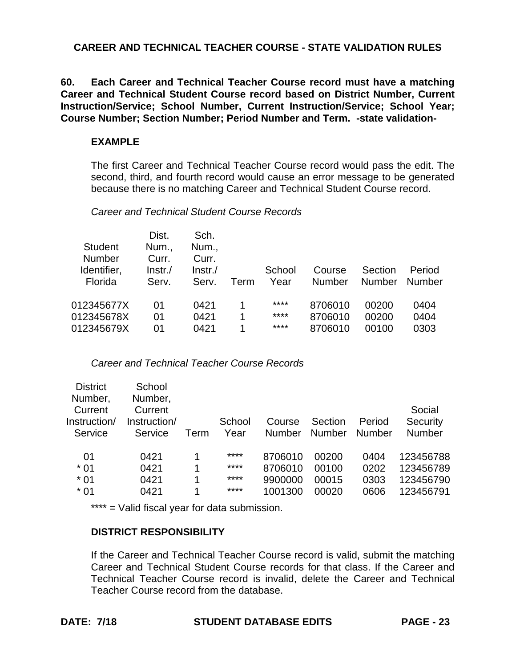# **CAREER AND TECHNICAL TEACHER COURSE - STATE VALIDATION RULES**

**60. Each Career and Technical Teacher Course record must have a matching Career and Technical Student Course record based on District Number, Current Instruction/Service; School Number, Current Instruction/Service; School Year; Course Number; Section Number; Period Number and Term. -state validation-**

## **EXAMPLE**

The first Career and Technical Teacher Course record would pass the edit. The second, third, and fourth record would cause an error message to be generated because there is no matching Career and Technical Student Course record.

### *Career and Technical Student Course Records*

| <b>Student</b><br><b>Number</b> | Dist.<br>Num.,<br>Curr. | Sch.<br>Num.,<br>Curr. |      |                |                  |                   |                  |
|---------------------------------|-------------------------|------------------------|------|----------------|------------------|-------------------|------------------|
| Identifier,<br>Florida          | lnstr./<br>Serv.        | $ Instr./$<br>Serv.    | Term | School<br>Year | Course<br>Number | Section<br>Number | Period<br>Number |
| 012345677X                      | 01                      | 0421                   | 1    | ****           | 8706010          | 00200             | 0404             |
| 012345678X                      | 01                      | 0421                   | 1    | ****           | 8706010          | 00200             | 0404             |
| 012345679X                      | 01                      | 0421                   | 1    | ****           | 8706010          | 00100             | 0303             |

*Career and Technical Teacher Course Records*

| <b>District</b> | School       |      |        |         |         |        |               |
|-----------------|--------------|------|--------|---------|---------|--------|---------------|
| Number,         | Number,      |      |        |         |         |        |               |
| Current         | Current      |      |        |         |         |        | Social        |
| Instruction/    | Instruction/ |      | School | Course  | Section | Period | Security      |
| Service         | Service      | Term | Year   | Number  | Number  | Number | <b>Number</b> |
|                 |              |      |        |         |         |        |               |
| 01              | 0421         | 1    | ****   | 8706010 | 00200   | 0404   | 123456788     |
| $*01$           | 0421         | 1    | ****   | 8706010 | 00100   | 0202   | 123456789     |
| $*01$           | 0421         | 1    | ****   | 9900000 | 00015   | 0303   | 123456790     |
| $*01$           | 0421         | 1    | ****   | 1001300 | 00020   | 0606   | 123456791     |
|                 |              |      |        |         |         |        |               |

\*\*\*\* = Valid fiscal year for data submission.

# **DISTRICT RESPONSIBILITY**

If the Career and Technical Teacher Course record is valid, submit the matching Career and Technical Student Course records for that class. If the Career and Technical Teacher Course record is invalid, delete the Career and Technical Teacher Course record from the database.